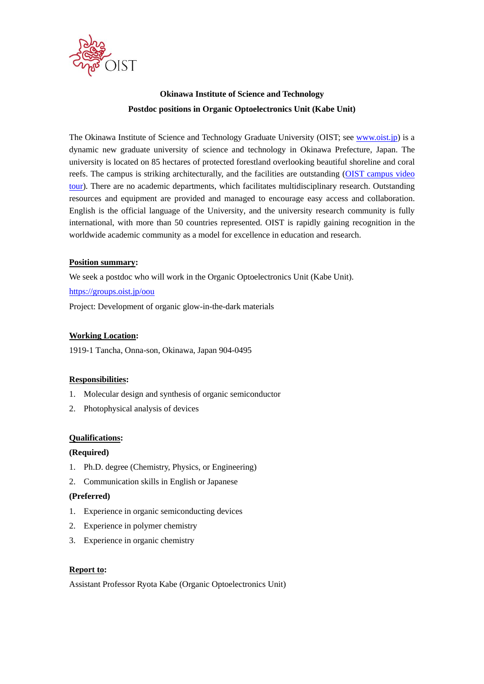

# **Okinawa Institute of Science and Technology Postdoc positions in Organic Optoelectronics Unit (Kabe Unit)**

The Okinawa Institute of Science and Technology Graduate University (OIST; see [www.oist.jp\)](http://www.oist.jp/) is a dynamic new graduate university of science and technology in Okinawa Prefecture, Japan. The university is located on 85 hectares of protected forestland overlooking beautiful shoreline and coral reefs. The campus is striking architecturally, and the facilities are outstanding (OIST [campus video](https://youtu.be/OLeylXbZDpo)  [tour\)](https://youtu.be/OLeylXbZDpo). There are no academic departments, which facilitates multidisciplinary research. Outstanding resources and equipment are provided and managed to encourage easy access and collaboration. English is the official language of the University, and the university research community is fully international, with more than 50 countries represented. OIST is rapidly gaining recognition in the worldwide academic community as a model for excellence in education and research.

#### **Position summary:**

We seek a postdoc who will work in the Organic Optoelectronics Unit (Kabe Unit).

#### <https://groups.oist.jp/oou>

Project: Development of organic glow-in-the-dark materials

## **Working Location:**

1919-1 Tancha, Onna-son, Okinawa, Japan 904-0495

#### **Responsibilities:**

- 1. Molecular design and synthesis of organic semiconductor
- 2. Photophysical analysis of devices

#### **Qualifications:**

#### **(Required)**

- 1. Ph.D. degree (Chemistry, Physics, or Engineering)
- 2. Communication skills in English or Japanese

#### **(Preferred)**

- 1. Experience in organic semiconducting devices
- 2. Experience in polymer chemistry
- 3. Experience in organic chemistry

#### **Report to:**

Assistant Professor Ryota Kabe (Organic Optoelectronics Unit)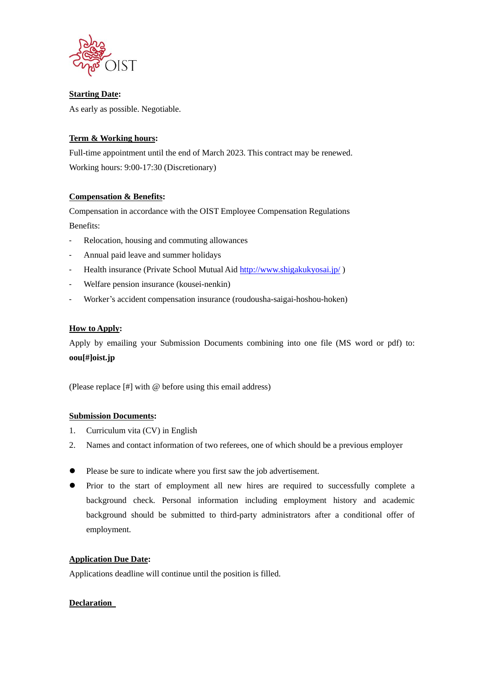

**Starting Date:** As early as possible. Negotiable.

# **Term & Working hours:**

Full-time appointment until the end of March 2023. This contract may be renewed. Working hours: 9:00-17:30 (Discretionary)

## **Compensation & Benefits:**

Compensation in accordance with the OIST Employee Compensation Regulations Benefits:

- Relocation, housing and commuting allowances
- Annual paid leave and summer holidays
- Health insurance (Private School Mutual Aid<http://www.shigakukyosai.jp/>)
- Welfare pension insurance (kousei-nenkin)
- Worker's accident compensation insurance (roudousha-saigai-hoshou-hoken)

#### **How to Apply:**

Apply by emailing your Submission Documents combining into one file (MS word or pdf) to: **oou[#]oist.jp**

(Please replace [#] with @ before using this email address)

#### **Submission Documents:**

- 1. Curriculum vita (CV) in English
- 2. Names and contact information of two referees, one of which should be a previous employer
- ⚫ Please be sure to indicate where you first saw the job advertisement.
- ⚫ Prior to the start of employment all new hires are required to successfully complete a background check. Personal information including employment history and academic background should be submitted to third-party administrators after a conditional offer of employment.

#### **Application Due Date:**

Applications deadline will continue until the position is filled.

## **Declaration**